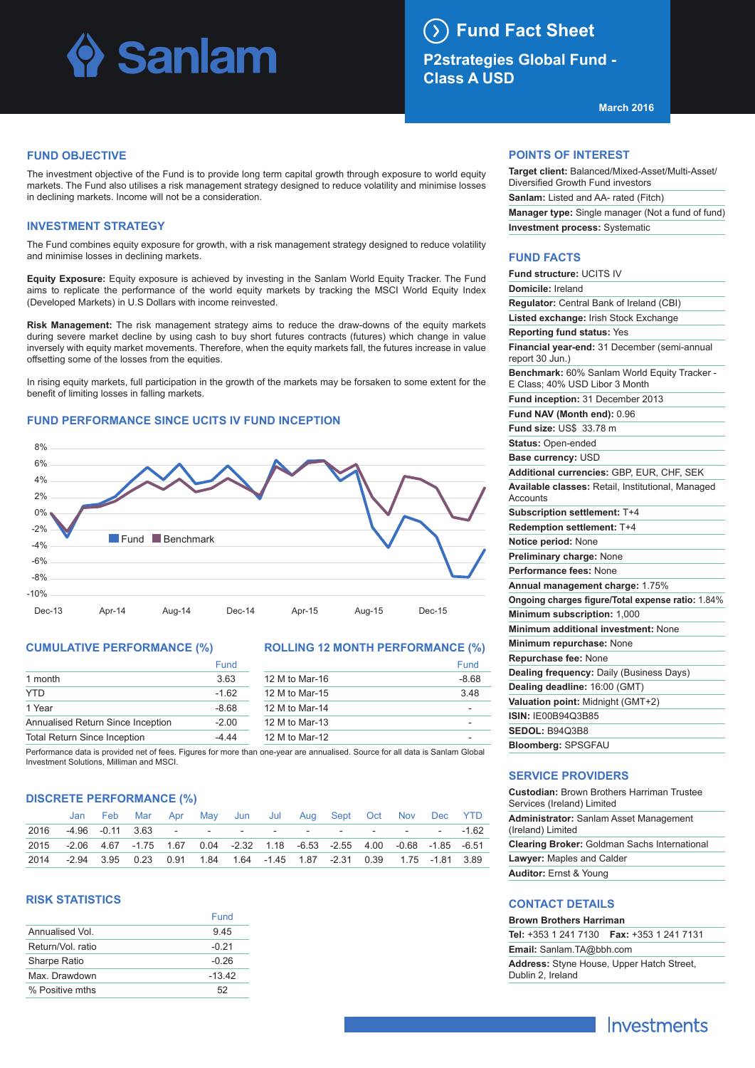## Sanlam

### **Fund Fact Sheet**

**P2strategies Global Fund - Class A USD**

**March 2016**

#### **FUND OBJECTIVE**

The investment objective of the Fund is to provide long term capital growth through exposure to world equity markets. The Fund also utilises a risk management strategy designed to reduce volatility and minimise losses in declining markets. Income will not be a consideration.

#### **INVESTMENT STRATEGY**

The Fund combines equity exposure for growth, with a risk management strategy designed to reduce volatility and minimise losses in declining markets.

**Equity Exposure:** Equity exposure is achieved by investing in the Sanlam World Equity Tracker. The Fund aims to replicate the performance of the world equity markets by tracking the MSCI World Equity Index (Developed Markets) in U.S Dollars with income reinvested.

**Risk Management:** The risk management strategy aims to reduce the draw-downs of the equity markets during severe market decline by using cash to buy short futures contracts (futures) which change in value inversely with equity market movements. Therefore, when the equity markets fall, the futures increase in value offsetting some of the losses from the equities.

In rising equity markets, full participation in the growth of the markets may be forsaken to some extent for the benefit of limiting losses in falling markets.

#### **Fund Benchmark**  $-10%$ -8% -6%  $-4%$ -2% 0% 2% 4% 6% 8%

Dec-13 Apr-14 Aug-14 Dec-14 Apr-15 Aug-15 Dec-15

#### **FUND PERFORMANCE SINCE UCITS IV FUND INCEPTION**



#### **ROLLING 12 MONTH PERFORMANCE (%)**

|                                     | Fund    |                | Fund    |
|-------------------------------------|---------|----------------|---------|
| 1 month                             | 3.63    | 12 M to Mar-16 | $-8.68$ |
| YTD.                                | $-1.62$ | 12 M to Mar-15 | 3.48    |
| 1 Year                              | $-8.68$ | 12 M to Mar-14 | -       |
| Annualised Return Since Inception   | $-2.00$ | 12 M to Mar-13 | -       |
| <b>Total Return Since Inception</b> | -4 44   | 12 M to Mar-12 |         |

Performance data is provided net of fees. Figures for more than one-year are annualised. Source for all data is Sanlam Global Investment Solutions, Milliman and MSCI.

#### **DISCRETE PERFORMANCE (%)**

|      |                                                                               | Feb Mar Apr May Jun Jul Aug Sept Oct Nov Dec YTD                                 |  |  |  |  |  |
|------|-------------------------------------------------------------------------------|----------------------------------------------------------------------------------|--|--|--|--|--|
| 2016 |                                                                               | -4.96 -0.11 3.63 - - - - - - - - - - - - - - - 1.62                              |  |  |  |  |  |
|      | 2015 -2.06 4.67 -1.75 1.67 0.04 -2.32 1.18 -6.53 -2.55 4.00 -0.68 -1.85 -6.51 |                                                                                  |  |  |  |  |  |
| 2014 |                                                                               | -2.94  3.95  0.23  0.91  1.84  1.64  -1.45  1.87  -2.31  0.39  1.75  -1.81  3.89 |  |  |  |  |  |

#### **RISK STATISTICS**

|                   | Fund     |
|-------------------|----------|
| Annualised Vol    | 945      |
| Return/Vol. ratio | $-0.21$  |
| Sharpe Ratio      | $-0.26$  |
| Max Drawdown      | $-13.42$ |
| % Positive mths   | 52       |

#### **POINTS OF INTEREST**

| Target client: Balanced/Mixed-Asset/Multi-Asset/         |
|----------------------------------------------------------|
| Diversified Growth Fund investors                        |
| <b>Sanlam:</b> Listed and AA- rated (Fitch)              |
| <b>Manager type:</b> Single manager (Not a fund of fund) |
| <b>Investment process: Systematic</b>                    |
|                                                          |

#### **FUND FACTS**

| Fund structure: UCITS IV                                                       |
|--------------------------------------------------------------------------------|
| Domicile: Ireland                                                              |
| <b>Regulator:</b> Central Bank of Ireland (CBI)                                |
| Listed exchange: Irish Stock Exchange                                          |
| <b>Reporting fund status: Yes</b>                                              |
| Financial year-end: 31 December (semi-annual<br>report 30 Jun.)                |
| Benchmark: 60% Sanlam World Equity Tracker -<br>E Class; 40% USD Libor 3 Month |
| Fund inception: 31 December 2013                                               |
| Fund NAV (Month end): 0.96                                                     |
| Fund size: US\$ 33.78 m                                                        |
| <b>Status: Open-ended</b>                                                      |
| Base currency: USD                                                             |
| Additional currencies: GBP, EUR, CHF, SEK                                      |
| Available classes: Retail, Institutional, Managed<br>Accounts                  |
| Subscription settlement: T+4                                                   |
| <b>Redemption settlement: T+4</b>                                              |
| Notice period: None                                                            |
| Preliminary charge: None                                                       |
| Performance fees: None                                                         |
| Annual management charge: 1.75%                                                |
| Ongoing charges figure/Total expense ratio: 1.84%                              |
| Minimum subscription: 1,000                                                    |
| Minimum additional investment: None                                            |
| Minimum repurchase: None                                                       |
| Repurchase fee: None                                                           |
| Dealing frequency: Daily (Business Days)                                       |
| Dealing deadline: 16:00 (GMT)                                                  |
| Valuation point: Midnight (GMT+2)                                              |
| <b>ISIN: IE00B94Q3B85</b>                                                      |
| <b>SEDOL: B9403B8</b>                                                          |
| <b>Bloomberg: SPSGFAU</b>                                                      |

#### **SERVICE PROVIDERS**

| <b>Custodian: Brown Brothers Harriman Trustee</b><br>Services (Ireland) Limited |
|---------------------------------------------------------------------------------|
| <b>Administrator:</b> Sanlam Asset Management<br>(Ireland) Limited              |
| <b>Clearing Broker: Goldman Sachs International</b>                             |
| <b>Lawyer:</b> Maples and Calder                                                |
| <b>Auditor: Ernst &amp; Young</b>                                               |

#### **CONTACT DETAILS**

#### **Brown Brothers Harriman**

**Tel:** +353 1 241 7130 **Fax:** +353 1 241 7131 **Email:** Sanlam.TA@bbh.com **Address:** Styne House, Upper Hatch Street, Dublin 2, Ireland

### Investments